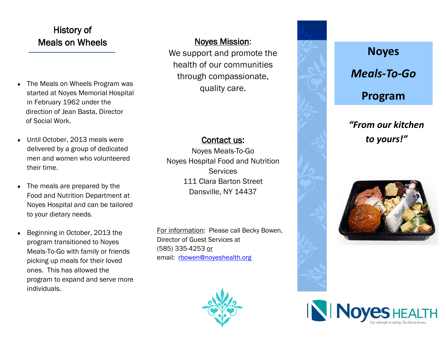# History of Meals on Wheels Noves Mission:

- The Meals on Wheels Program was started at Noyes Memorial Hospital in February 1962 under the direction of Jean Basta, Director of Social Work.
- ◆ Until October, 2013 meals were delivered by a group of dedicated men and women who volunteered their time.
- The meals are prepared by the Food and Nutrition Department at Noyes Hospital and can be tailored to your dietary needs.
- ◆ Beginning in October, 2013 the program transitioned to Noyes Meals-To-Go with family or friends picking up meals for their loved ones. This has allowed the program to expand and serve more individuals.

We support and promote the health of our communities through compassionate, quality care.

## Contact us:

Noyes Meals-To-Go Noyes Hospital Food and Nutrition **Services** 111 Clara Barton Street Dansville, NY 14437

For information: Please call Becky Bowen, Director of Guest Services at (585) 335-4253 or email: rbowen@noyeshealth.org





# *"From our kitchen to yours!"*